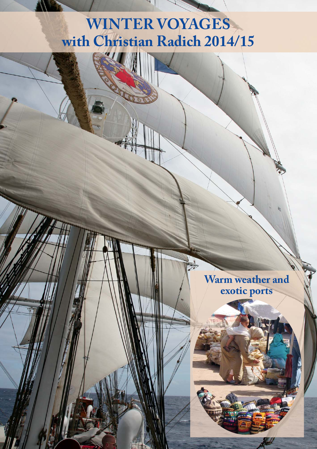# **WINTER VOYAGES with Christian Radich 2014/15**

**CALL** 

**Warm weather and exotic ports**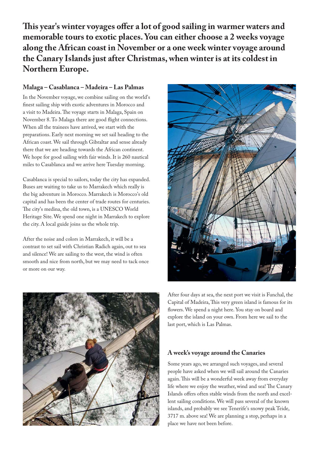**This year's winter voyages offer a lot of good sailing in warmer waters and memorable tours to exotic places. You can either choose a 2 weeks voyage along the African coast in November or a one week winter voyage around the Canary Islands just after Christmas, when winter is at its coldest in Northern Europe.**

### **Malaga – Casablanca – Madeira – Las Palmas**

In the November voyage, we combine sailing on the world's finest sailing ship with exotic adventures in Morocco and a visit to Madeira. The voyage starts in Malaga, Spain on November 8. To Malaga there are good flight connections. When all the trainees have arrived, we start with the preparations. Early next morning we set sail heading to the African coast. We sail through Gibraltar and sense already there that we are heading towards the African continent. We hope for good sailing with fair winds. It is 260 nautical miles to Casablanca and we arrive here Tuesday morning.

Casablanca is special to sailors, today the city has expanded. Buses are waiting to take us to Marrakech which really is the big adventure in Morocco. Marrakech is Morocco's old capital and has been the center of trade routes for centuries. The city's medina, the old town, is a UNESCO World Heritage Site. We spend one night in Marrakech to explore the city. A local guide joins us the whole trip.

After the noise and colors in Marrakech, it will be a contrast to set sail with Christian Radich again, out to sea and silence! We are sailing to the west, the wind is often smooth and nice from north, but we may need to tack once or more on our way.





After four days at sea, the next port we visit is Funchal, the Capital of Madeira, This very green island is famous for its flowers. We spend a night here. You stay on board and explore the island on your own. From here we sail to the last port, which is Las Palmas.

### **A week's voyage around the Canaries**

Some years ago, we arranged such voyages, and several people have asked when we will sail around the Canaries again. This will be a wonderful week away from everyday life where we enjoy the weather, wind and sea! The Canary Islands offers often stable winds from the north and excellent sailing conditions. We will pass several of the known islands, and probably we see Tenerife's snowy peak Teide, 3717 m. above sea! We are planning a stop, perhaps in a place we have not been before.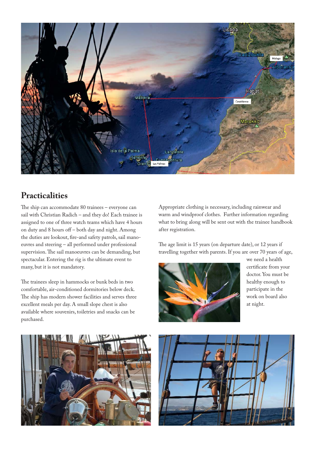

## **Practicalities**

The ship can accommodate 80 trainees – everyone can sail with Christian Radich – and they do! Each trainee is assigned to one of three watch teams which have 4 hours on duty and 8 hours off – both day and night. Among the duties are lookout, fire-and safety patrols, sail manoeuvres and steering – all performed under professional supervision. The sail manoeuvres can be demanding, but spectacular. Entering the rig is the ultimate event to many, but it is not mandatory.

The trainees sleep in hammocks or bunk beds in two comfortable, air-conditioned dormitories below deck. The ship has modern shower facilities and serves three excellent meals per day. A small slope chest is also available where souvenirs, toiletries and snacks can be purchased.

Appropriate clothing is necessary, including rainwear and warm and windproof clothes. Further information regarding what to bring along will be sent out with the trainee handbook after registration.

The age limit is 15 years (on departure date), or 12 years if travelling together with parents. If you are over 70 years of age,



we need a health certificate from your doctor. You must be healthy enough to participate in the work on board also at night.